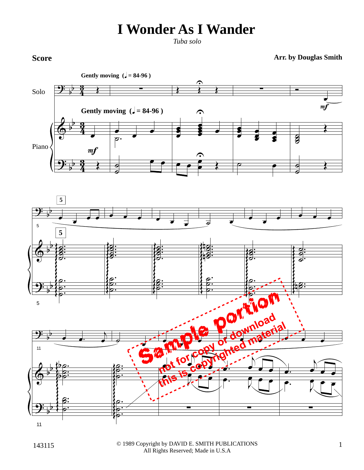## **I Wonder As I Wander**

## **Score Arr. by Douglas Smith**



*Tuba solo*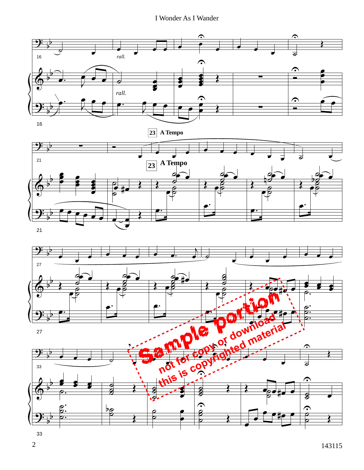I Wonder As I Wander

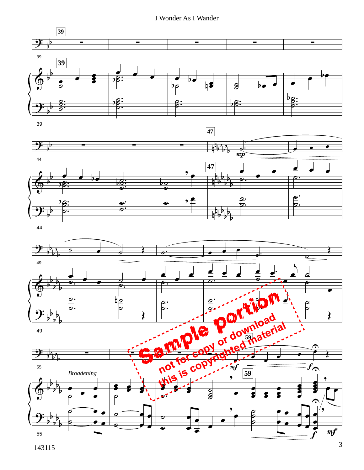I Wonder As I Wander